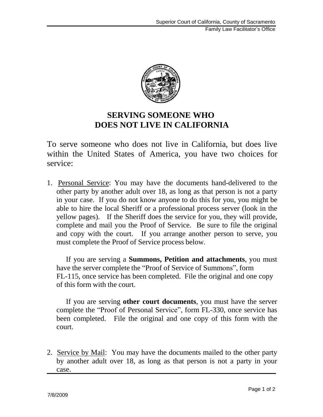Family Law Facilitator's Office



## **SERVING SOMEONE WHO DOES NOT LIVE IN CALIFORNIA**

To serve someone who does not live in California, but does live within the United States of America, you have two choices for service:

1. Personal Service: You may have the documents hand-delivered to the other party by another adult over 18, as long as that person is not a party in your case. If you do not know anyone to do this for you, you might be able to hire the local Sheriff or a professional process server (look in the yellow pages). If the Sheriff does the service for you, they will provide, complete and mail you the Proof of Service. Be sure to file the original and copy with the court. If you arrange another person to serve, you must complete the Proof of Service process below.

If you are serving a **Summons, Petition and attachments**, you must have the server complete the "Proof of Service of Summons", form FL-115, once service has been completed. File the original and one copy of this form with the court.

If you are serving **other court documents**, you must have the server complete the "Proof of Personal Service", form FL-330, once service has been completed. File the original and one copy of this form with the court.

2. Service by Mail: You may have the documents mailed to the other party by another adult over 18, as long as that person is not a party in your case.